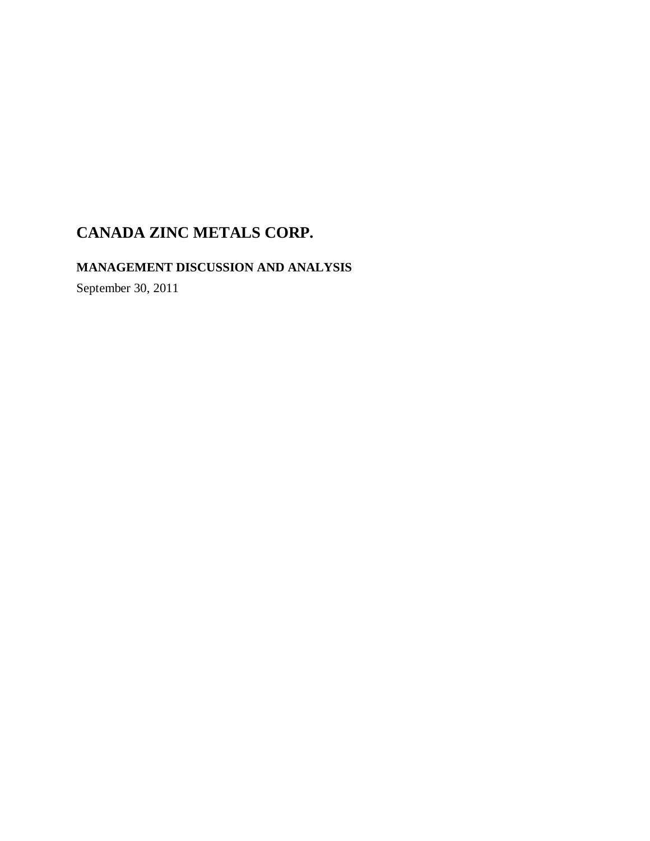**MANAGEMENT DISCUSSION AND ANALYSIS** 

September 30, 2011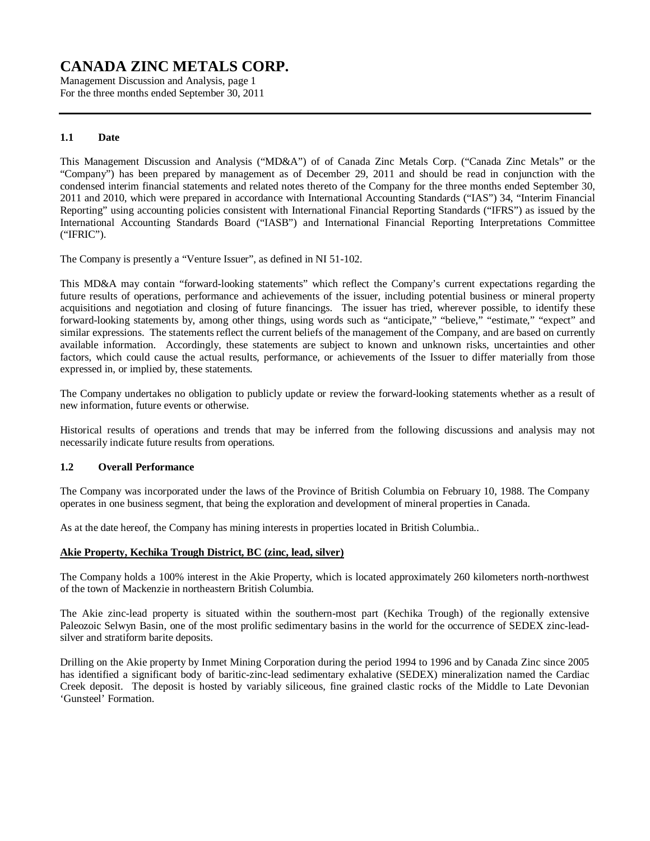Management Discussion and Analysis, page 1 For the three months ended September 30, 2011

### **1.1 Date**

This Management Discussion and Analysis ("MD&A") of of Canada Zinc Metals Corp. ("Canada Zinc Metals" or the "Company") has been prepared by management as of December 29, 2011 and should be read in conjunction with the condensed interim financial statements and related notes thereto of the Company for the three months ended September 30, 2011 and 2010, which were prepared in accordance with International Accounting Standards ("IAS") 34, "Interim Financial Reporting" using accounting policies consistent with International Financial Reporting Standards ("IFRS") as issued by the International Accounting Standards Board ("IASB") and International Financial Reporting Interpretations Committee ("IFRIC").

The Company is presently a "Venture Issuer", as defined in NI 51-102.

This MD&A may contain "forward-looking statements" which reflect the Company's current expectations regarding the future results of operations, performance and achievements of the issuer, including potential business or mineral property acquisitions and negotiation and closing of future financings. The issuer has tried, wherever possible, to identify these forward-looking statements by, among other things, using words such as "anticipate," "believe," "estimate," "expect" and similar expressions. The statements reflect the current beliefs of the management of the Company, and are based on currently available information. Accordingly, these statements are subject to known and unknown risks, uncertainties and other factors, which could cause the actual results, performance, or achievements of the Issuer to differ materially from those expressed in, or implied by, these statements.

The Company undertakes no obligation to publicly update or review the forward-looking statements whether as a result of new information, future events or otherwise.

Historical results of operations and trends that may be inferred from the following discussions and analysis may not necessarily indicate future results from operations.

#### **1.2 Overall Performance**

The Company was incorporated under the laws of the Province of British Columbia on February 10, 1988. The Company operates in one business segment, that being the exploration and development of mineral properties in Canada.

As at the date hereof, the Company has mining interests in properties located in British Columbia..

#### **Akie Property, Kechika Trough District, BC (zinc, lead, silver)**

The Company holds a 100% interest in the Akie Property, which is located approximately 260 kilometers north-northwest of the town of Mackenzie in northeastern British Columbia.

The Akie zinc-lead property is situated within the southern-most part (Kechika Trough) of the regionally extensive Paleozoic Selwyn Basin, one of the most prolific sedimentary basins in the world for the occurrence of SEDEX zinc-leadsilver and stratiform barite deposits.

Drilling on the Akie property by Inmet Mining Corporation during the period 1994 to 1996 and by Canada Zinc since 2005 has identified a significant body of baritic-zinc-lead sedimentary exhalative (SEDEX) mineralization named the Cardiac Creek deposit. The deposit is hosted by variably siliceous, fine grained clastic rocks of the Middle to Late Devonian 'Gunsteel' Formation.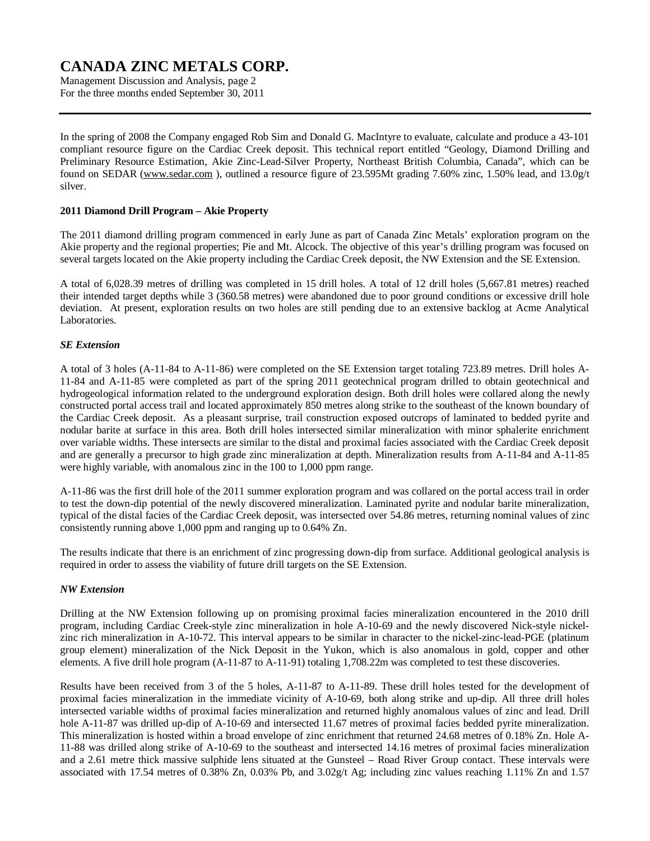Management Discussion and Analysis, page 2 For the three months ended September 30, 2011

In the spring of 2008 the Company engaged Rob Sim and Donald G. MacIntyre to evaluate, calculate and produce a 43-101 compliant resource figure on the Cardiac Creek deposit. This technical report entitled "Geology, Diamond Drilling and Preliminary Resource Estimation, Akie Zinc-Lead-Silver Property, Northeast British Columbia, Canada", which can be found on SEDAR [\(www.sedar.com](http://www.sedar.com) ), outlined a resource figure of 23.595Mt grading 7.60% zinc, 1.50% lead, and 13.0g/t silver.

### **2011 Diamond Drill Program – Akie Property**

The 2011 diamond drilling program commenced in early June as part of Canada Zinc Metals' exploration program on the Akie property and the regional properties; Pie and Mt. Alcock. The objective of this year's drilling program was focused on several targets located on the Akie property including the Cardiac Creek deposit, the NW Extension and the SE Extension.

A total of 6,028.39 metres of drilling was completed in 15 drill holes. A total of 12 drill holes (5,667.81 metres) reached their intended target depths while 3 (360.58 metres) were abandoned due to poor ground conditions or excessive drill hole deviation. At present, exploration results on two holes are still pending due to an extensive backlog at Acme Analytical Laboratories.

### *SE Extension*

A total of 3 holes (A-11-84 to A-11-86) were completed on the SE Extension target totaling 723.89 metres. Drill holes A-11-84 and A-11-85 were completed as part of the spring 2011 geotechnical program drilled to obtain geotechnical and hydrogeological information related to the underground exploration design. Both drill holes were collared along the newly constructed portal access trail and located approximately 850 metres along strike to the southeast of the known boundary of the Cardiac Creek deposit. As a pleasant surprise, trail construction exposed outcrops of laminated to bedded pyrite and nodular barite at surface in this area. Both drill holes intersected similar mineralization with minor sphalerite enrichment over variable widths. These intersects are similar to the distal and proximal facies associated with the Cardiac Creek deposit and are generally a precursor to high grade zinc mineralization at depth. Mineralization results from A-11-84 and A-11-85 were highly variable, with anomalous zinc in the 100 to 1,000 ppm range.

A-11-86 was the first drill hole of the 2011 summer exploration program and was collared on the portal access trail in order to test the down-dip potential of the newly discovered mineralization. Laminated pyrite and nodular barite mineralization, typical of the distal facies of the Cardiac Creek deposit, was intersected over 54.86 metres, returning nominal values of zinc consistently running above 1,000 ppm and ranging up to 0.64% Zn.

The results indicate that there is an enrichment of zinc progressing down-dip from surface. Additional geological analysis is required in order to assess the viability of future drill targets on the SE Extension.

#### *NW Extension*

Drilling at the NW Extension following up on promising proximal facies mineralization encountered in the 2010 drill program, including Cardiac Creek-style zinc mineralization in hole A-10-69 and the newly discovered Nick-style nickelzinc rich mineralization in A-10-72. This interval appears to be similar in character to the nickel-zinc-lead-PGE (platinum group element) mineralization of the Nick Deposit in the Yukon, which is also anomalous in gold, copper and other elements. A five drill hole program (A-11-87 to A-11-91) totaling 1,708.22m was completed to test these discoveries.

Results have been received from 3 of the 5 holes, A-11-87 to A-11-89. These drill holes tested for the development of proximal facies mineralization in the immediate vicinity of A-10-69, both along strike and up-dip. All three drill holes intersected variable widths of proximal facies mineralization and returned highly anomalous values of zinc and lead. Drill hole A-11-87 was drilled up-dip of A-10-69 and intersected 11.67 metres of proximal facies bedded pyrite mineralization. This mineralization is hosted within a broad envelope of zinc enrichment that returned 24.68 metres of 0.18% Zn. Hole A-11-88 was drilled along strike of A-10-69 to the southeast and intersected 14.16 metres of proximal facies mineralization and a 2.61 metre thick massive sulphide lens situated at the Gunsteel – Road River Group contact. These intervals were associated with 17.54 metres of 0.38% Zn, 0.03% Pb, and 3.02g/t Ag; including zinc values reaching 1.11% Zn and 1.57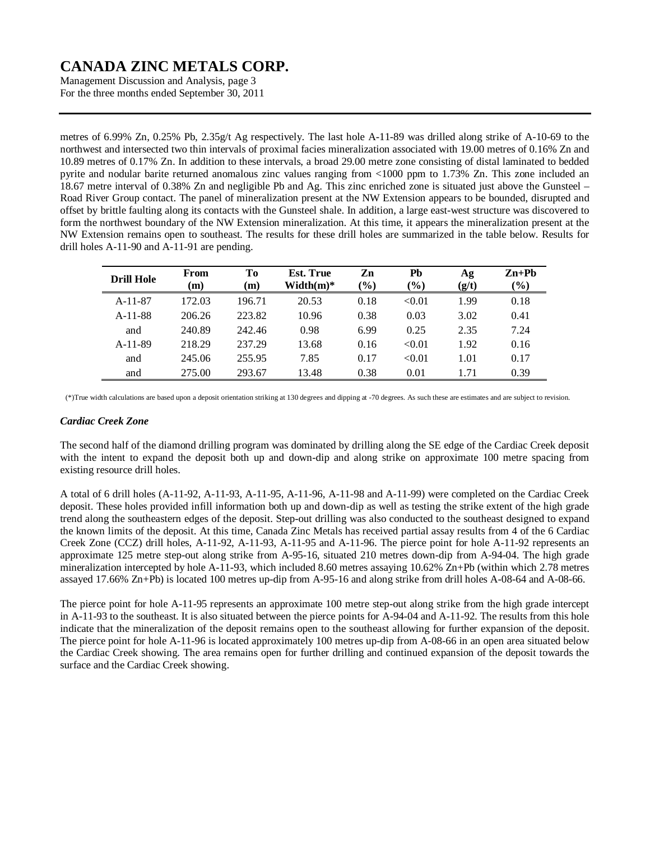Management Discussion and Analysis, page 3 For the three months ended September 30, 2011

metres of 6.99% Zn, 0.25% Pb, 2.35g/t Ag respectively. The last hole A-11-89 was drilled along strike of A-10-69 to the northwest and intersected two thin intervals of proximal facies mineralization associated with 19.00 metres of 0.16% Zn and 10.89 metres of 0.17% Zn. In addition to these intervals, a broad 29.00 metre zone consisting of distal laminated to bedded pyrite and nodular barite returned anomalous zinc values ranging from <1000 ppm to 1.73% Zn. This zone included an 18.67 metre interval of 0.38% Zn and negligible Pb and Ag. This zinc enriched zone is situated just above the Gunsteel – Road River Group contact. The panel of mineralization present at the NW Extension appears to be bounded, disrupted and offset by brittle faulting along its contacts with the Gunsteel shale. In addition, a large east-west structure was discovered to form the northwest boundary of the NW Extension mineralization. At this time, it appears the mineralization present at the NW Extension remains open to southeast. The results for these drill holes are summarized in the table below. Results for drill holes A-11-90 and A-11-91 are pending.

| <b>Drill Hole</b> | From<br>(m) | Tо<br>(m) | <b>Est. True</b><br>$Width(m)*$ | Zn<br>$(\%)$ | Pb<br>$(\%)$ | Ag<br>(g/t) | $Zn+Ph$<br>$(\%)$ |
|-------------------|-------------|-----------|---------------------------------|--------------|--------------|-------------|-------------------|
| $A-11-87$         | 172.03      | 196.71    | 20.53                           | 0.18         | < 0.01       | 1.99        | 0.18              |
| $A-11-88$         | 206.26      | 223.82    | 10.96                           | 0.38         | 0.03         | 3.02        | 0.41              |
| and               | 240.89      | 242.46    | 0.98                            | 6.99         | 0.25         | 2.35        | 7.24              |
| $A-11-89$         | 218.29      | 237.29    | 13.68                           | 0.16         | < 0.01       | 1.92        | 0.16              |
| and               | 245.06      | 255.95    | 7.85                            | 0.17         | < 0.01       | 1.01        | 0.17              |
| and               | 275.00      | 293.67    | 13.48                           | 0.38         | 0.01         | 1.71        | 0.39              |

(\*)True width calculations are based upon a deposit orientation striking at 130 degrees and dipping at -70 degrees. As such these are estimates and are subject to revision.

#### *Cardiac Creek Zone*

The second half of the diamond drilling program was dominated by drilling along the SE edge of the Cardiac Creek deposit with the intent to expand the deposit both up and down-dip and along strike on approximate 100 metre spacing from existing resource drill holes.

A total of 6 drill holes (A-11-92, A-11-93, A-11-95, A-11-96, A-11-98 and A-11-99) were completed on the Cardiac Creek deposit. These holes provided infill information both up and down-dip as well as testing the strike extent of the high grade trend along the southeastern edges of the deposit. Step-out drilling was also conducted to the southeast designed to expand the known limits of the deposit. At this time, Canada Zinc Metals has received partial assay results from 4 of the 6 Cardiac Creek Zone (CCZ) drill holes, A-11-92, A-11-93, A-11-95 and A-11-96. The pierce point for hole A-11-92 represents an approximate 125 metre step-out along strike from A-95-16, situated 210 metres down-dip from A-94-04. The high grade mineralization intercepted by hole A-11-93, which included 8.60 metres assaying 10.62% Zn+Pb (within which 2.78 metres assayed 17.66% Zn+Pb) is located 100 metres up-dip from A-95-16 and along strike from drill holes A-08-64 and A-08-66.

The pierce point for hole A-11-95 represents an approximate 100 metre step-out along strike from the high grade intercept in A-11-93 to the southeast. It is also situated between the pierce points for A-94-04 and A-11-92. The results from this hole indicate that the mineralization of the deposit remains open to the southeast allowing for further expansion of the deposit. The pierce point for hole A-11-96 is located approximately 100 metres up-dip from A-08-66 in an open area situated below the Cardiac Creek showing. The area remains open for further drilling and continued expansion of the deposit towards the surface and the Cardiac Creek showing.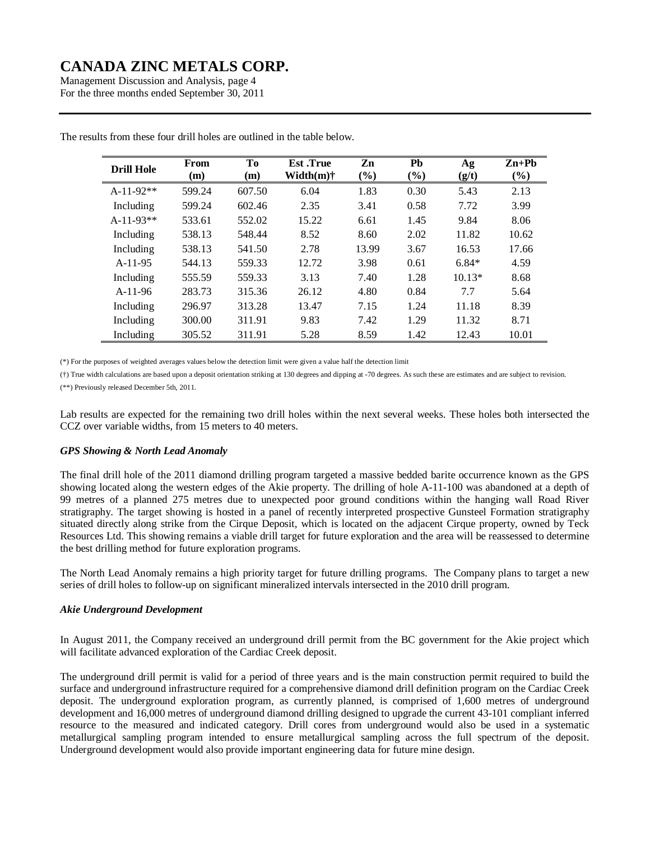Management Discussion and Analysis, page 4 For the three months ended September 30, 2011

| <b>Drill Hole</b> | From<br>(m) | To<br>(m) | Est .True<br>Width $(m)$ † | Zn<br>$\left( \frac{9}{6} \right)$ | <b>Ph</b><br>$(\%)$ | Ag<br>(g/t) | $Zn+Pb$<br>$(\%)$ |
|-------------------|-------------|-----------|----------------------------|------------------------------------|---------------------|-------------|-------------------|
| $A-11-92**$       | 599.24      | 607.50    | 6.04                       | 1.83                               | 0.30                | 5.43        | 2.13              |
| Including         | 599.24      | 602.46    | 2.35                       | 3.41                               | 0.58                | 7.72        | 3.99              |
| $A-11-93**$       | 533.61      | 552.02    | 15.22                      | 6.61                               | 1.45                | 9.84        | 8.06              |
| Including         | 538.13      | 548.44    | 8.52                       | 8.60                               | 2.02                | 11.82       | 10.62             |
| Including         | 538.13      | 541.50    | 2.78                       | 13.99                              | 3.67                | 16.53       | 17.66             |
| $A-11-95$         | 544.13      | 559.33    | 12.72                      | 3.98                               | 0.61                | $6.84*$     | 4.59              |
| Including         | 555.59      | 559.33    | 3.13                       | 7.40                               | 1.28                | $10.13*$    | 8.68              |
| $A-11-96$         | 283.73      | 315.36    | 26.12                      | 4.80                               | 0.84                | 7.7         | 5.64              |
| Including         | 296.97      | 313.28    | 13.47                      | 7.15                               | 1.24                | 11.18       | 8.39              |
| Including         | 300.00      | 311.91    | 9.83                       | 7.42                               | 1.29                | 11.32       | 8.71              |
| Including         | 305.52      | 311.91    | 5.28                       | 8.59                               | 1.42                | 12.43       | 10.01             |

The results from these four drill holes are outlined in the table below.

(\*) For the purposes of weighted averages values below the detection limit were given a value half the detection limit

(†) True width calculations are based upon a deposit orientation striking at 130 degrees and dipping at -70 degrees. As such these are estimates and are subject to revision.

(\*\*) Previously released December 5th, 2011.

Lab results are expected for the remaining two drill holes within the next several weeks. These holes both intersected the CCZ over variable widths, from 15 meters to 40 meters.

#### *GPS Showing & North Lead Anomaly*

The final drill hole of the 2011 diamond drilling program targeted a massive bedded barite occurrence known as the GPS showing located along the western edges of the Akie property. The drilling of hole A-11-100 was abandoned at a depth of 99 metres of a planned 275 metres due to unexpected poor ground conditions within the hanging wall Road River stratigraphy. The target showing is hosted in a panel of recently interpreted prospective Gunsteel Formation stratigraphy situated directly along strike from the Cirque Deposit, which is located on the adjacent Cirque property, owned by Teck Resources Ltd. This showing remains a viable drill target for future exploration and the area will be reassessed to determine the best drilling method for future exploration programs.

The North Lead Anomaly remains a high priority target for future drilling programs. The Company plans to target a new series of drill holes to follow-up on significant mineralized intervals intersected in the 2010 drill program.

#### *Akie Underground Development*

In August 2011, the Company received an underground drill permit from the BC government for the Akie project which will facilitate advanced exploration of the Cardiac Creek deposit.

The underground drill permit is valid for a period of three years and is the main construction permit required to build the surface and underground infrastructure required for a comprehensive diamond drill definition program on the Cardiac Creek deposit. The underground exploration program, as currently planned, is comprised of 1,600 metres of underground development and 16,000 metres of underground diamond drilling designed to upgrade the current 43-101 compliant inferred resource to the measured and indicated category. Drill cores from underground would also be used in a systematic metallurgical sampling program intended to ensure metallurgical sampling across the full spectrum of the deposit. Underground development would also provide important engineering data for future mine design.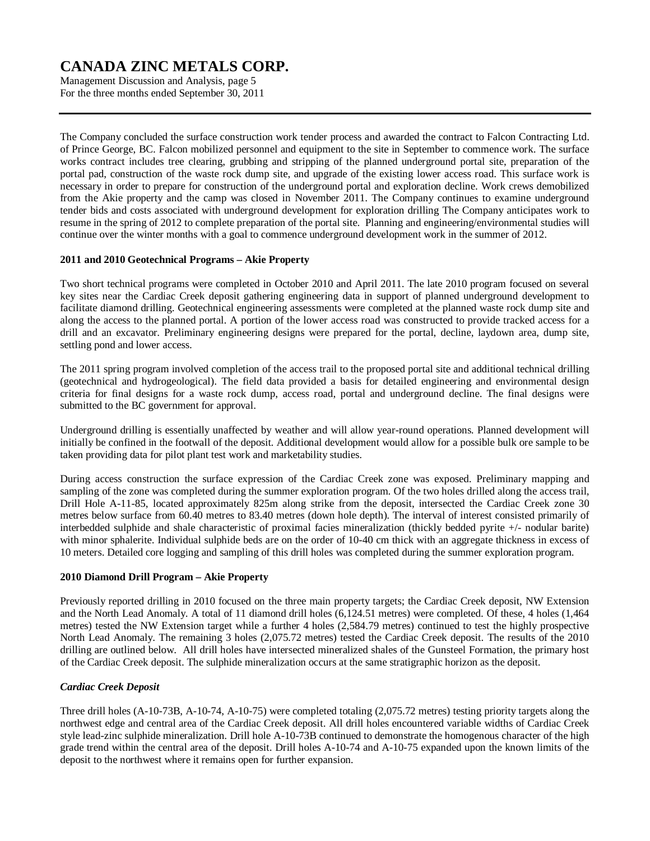Management Discussion and Analysis, page 5 For the three months ended September 30, 2011

The Company concluded the surface construction work tender process and awarded the contract to Falcon Contracting Ltd. of Prince George, BC. Falcon mobilized personnel and equipment to the site in September to commence work. The surface works contract includes tree clearing, grubbing and stripping of the planned underground portal site, preparation of the portal pad, construction of the waste rock dump site, and upgrade of the existing lower access road. This surface work is necessary in order to prepare for construction of the underground portal and exploration decline. Work crews demobilized from the Akie property and the camp was closed in November 2011. The Company continues to examine underground tender bids and costs associated with underground development for exploration drilling The Company anticipates work to resume in the spring of 2012 to complete preparation of the portal site. Planning and engineering/environmental studies will continue over the winter months with a goal to commence underground development work in the summer of 2012.

#### **2011 and 2010 Geotechnical Programs – Akie Property**

Two short technical programs were completed in October 2010 and April 2011. The late 2010 program focused on several key sites near the Cardiac Creek deposit gathering engineering data in support of planned underground development to facilitate diamond drilling. Geotechnical engineering assessments were completed at the planned waste rock dump site and along the access to the planned portal. A portion of the lower access road was constructed to provide tracked access for a drill and an excavator. Preliminary engineering designs were prepared for the portal, decline, laydown area, dump site, settling pond and lower access.

The 2011 spring program involved completion of the access trail to the proposed portal site and additional technical drilling (geotechnical and hydrogeological). The field data provided a basis for detailed engineering and environmental design criteria for final designs for a waste rock dump, access road, portal and underground decline. The final designs were submitted to the BC government for approval.

Underground drilling is essentially unaffected by weather and will allow year-round operations. Planned development will initially be confined in the footwall of the deposit. Additional development would allow for a possible bulk ore sample to be taken providing data for pilot plant test work and marketability studies.

During access construction the surface expression of the Cardiac Creek zone was exposed. Preliminary mapping and sampling of the zone was completed during the summer exploration program. Of the two holes drilled along the access trail, Drill Hole A-11-85, located approximately 825m along strike from the deposit, intersected the Cardiac Creek zone 30 metres below surface from 60.40 metres to 83.40 metres (down hole depth). The interval of interest consisted primarily of interbedded sulphide and shale characteristic of proximal facies mineralization (thickly bedded pyrite +/- nodular barite) with minor sphalerite. Individual sulphide beds are on the order of 10-40 cm thick with an aggregate thickness in excess of 10 meters. Detailed core logging and sampling of this drill holes was completed during the summer exploration program.

#### **2010 Diamond Drill Program – Akie Property**

Previously reported drilling in 2010 focused on the three main property targets; the Cardiac Creek deposit, NW Extension and the North Lead Anomaly. A total of 11 diamond drill holes (6,124.51 metres) were completed. Of these, 4 holes (1,464 metres) tested the NW Extension target while a further 4 holes (2,584.79 metres) continued to test the highly prospective North Lead Anomaly. The remaining 3 holes (2,075.72 metres) tested the Cardiac Creek deposit. The results of the 2010 drilling are outlined below. All drill holes have intersected mineralized shales of the Gunsteel Formation, the primary host of the Cardiac Creek deposit. The sulphide mineralization occurs at the same stratigraphic horizon as the deposit.

#### *Cardiac Creek Deposit*

Three drill holes (A-10-73B, A-10-74, A-10-75) were completed totaling (2,075.72 metres) testing priority targets along the northwest edge and central area of the Cardiac Creek deposit. All drill holes encountered variable widths of Cardiac Creek style lead-zinc sulphide mineralization. Drill hole A-10-73B continued to demonstrate the homogenous character of the high grade trend within the central area of the deposit. Drill holes A-10-74 and A-10-75 expanded upon the known limits of the deposit to the northwest where it remains open for further expansion.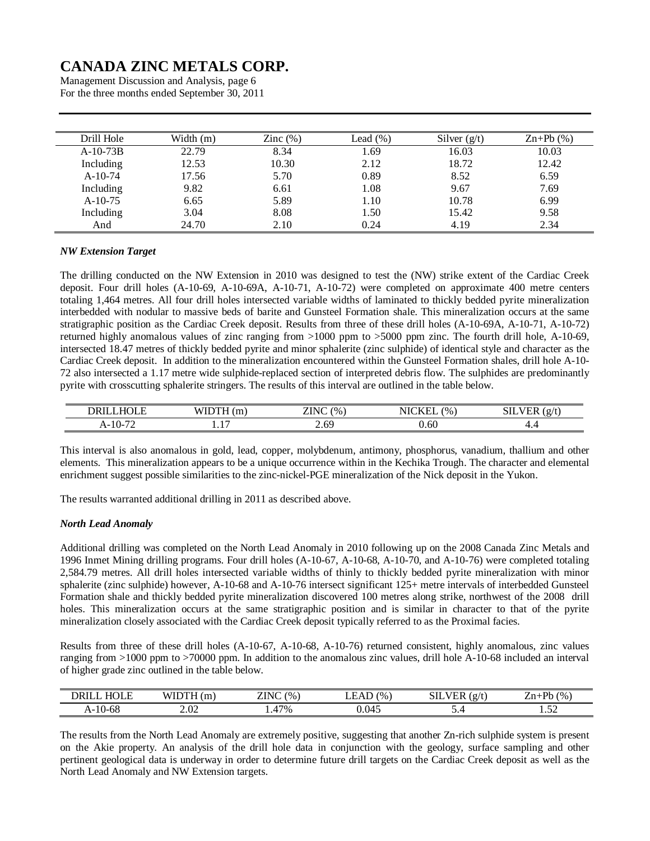Management Discussion and Analysis, page 6 For the three months ended September 30, 2011

| Drill Hole | Width $(m)$ | Zinc $(\%)$ | Lead (%) | Silver $(g/t)$ | $Zn+Pb(%)$ |
|------------|-------------|-------------|----------|----------------|------------|
| $A-10-73B$ | 22.79       | 8.34        | 1.69     | 16.03          | 10.03      |
| Including  | 12.53       | 10.30       | 2.12     | 18.72          | 12.42      |
| $A-10-74$  | 17.56       | 5.70        | 0.89     | 8.52           | 6.59       |
| Including  | 9.82        | 6.61        | 1.08     | 9.67           | 7.69       |
| $A-10-75$  | 6.65        | 5.89        | 1.10     | 10.78          | 6.99       |
| Including  | 3.04        | 8.08        | 1.50     | 15.42          | 9.58       |
| And        | 24.70       | 2.10        | 0.24     | 4.19           | 2.34       |

#### *NW Extension Target*

The drilling conducted on the NW Extension in 2010 was designed to test the (NW) strike extent of the Cardiac Creek deposit. Four drill holes (A-10-69, A-10-69A, A-10-71, A-10-72) were completed on approximate 400 metre centers totaling 1,464 metres. All four drill holes intersected variable widths of laminated to thickly bedded pyrite mineralization interbedded with nodular to massive beds of barite and Gunsteel Formation shale. This mineralization occurs at the same stratigraphic position as the Cardiac Creek deposit. Results from three of these drill holes (A-10-69A, A-10-71, A-10-72) returned highly anomalous values of zinc ranging from >1000 ppm to >5000 ppm zinc. The fourth drill hole, A-10-69, intersected 18.47 metres of thickly bedded pyrite and minor sphalerite (zinc sulphide) of identical style and character as the Cardiac Creek deposit. In addition to the mineralization encountered within the Gunsteel Formation shales, drill hole A-10- 72 also intersected a 1.17 metre wide sulphide-replaced section of interpreted debris flow. The sulphides are predominantly pyrite with crosscutting sphalerite stringers. The results of this interval are outlined in the table below.

| DRII<br>் பட   | <b>********</b><br>$\sim$<br>ΊL<br>W.<br>, , , ,<br>. | ZINC<br>$\frac{9}{6}$ | $ -$<br>$^{(0)}$<br>NH<br>. | $\sigma$ /<br>வட<br>$\sim$ |
|----------------|-------------------------------------------------------|-----------------------|-----------------------------|----------------------------|
| $\overline{ }$ | .                                                     | 60                    | 0.66                        |                            |
| -----          |                                                       | ر ں کے                |                             | т.-                        |

This interval is also anomalous in gold, lead, copper, molybdenum, antimony, phosphorus, vanadium, thallium and other elements. This mineralization appears to be a unique occurrence within in the Kechika Trough. The character and elemental enrichment suggest possible similarities to the zinc-nickel-PGE mineralization of the Nick deposit in the Yukon.

The results warranted additional drilling in 2011 as described above.

### *North Lead Anomaly*

Additional drilling was completed on the North Lead Anomaly in 2010 following up on the 2008 Canada Zinc Metals and 1996 Inmet Mining drilling programs. Four drill holes (A-10-67, A-10-68, A-10-70, and A-10-76) were completed totaling 2,584.79 metres. All drill holes intersected variable widths of thinly to thickly bedded pyrite mineralization with minor sphalerite (zinc sulphide) however, A-10-68 and A-10-76 intersect significant 125+ metre intervals of interbedded Gunsteel Formation shale and thickly bedded pyrite mineralization discovered 100 metres along strike, northwest of the 2008 drill holes. This mineralization occurs at the same stratigraphic position and is similar in character to that of the pyrite mineralization closely associated with the Cardiac Creek deposit typically referred to as the Proximal facies.

Results from three of these drill holes (A-10-67, A-10-68, A-10-76) returned consistent, highly anomalous, zinc values ranging from >1000 ppm to >70000 ppm. In addition to the anomalous zinc values, drill hole A-10-68 included an interval of higher grade zinc outlined in the table below.

| . <del>.</del> .<br>$\mathbf{r}$<br>DRII<br>Ηı<br>.<br>. | WI<br>(m | $\sim$<br>$\frac{1}{96}$ .<br><b>TINU</b> | $\mathcal{O}_0$ . | SIL<br>$\sigma/t$<br>、<br>$\sim$ $-$ | -Ph<br>$^{(0)}$<br>' n<br>- 41 11 |
|----------------------------------------------------------|----------|-------------------------------------------|-------------------|--------------------------------------|-----------------------------------|
| $A-10-68$                                                | 2.02     | $17\%$<br>41                              | 0.045             | 9.4                                  | $\sim$ $\sim$<br>1.JA             |

The results from the North Lead Anomaly are extremely positive, suggesting that another Zn-rich sulphide system is present on the Akie property. An analysis of the drill hole data in conjunction with the geology, surface sampling and other pertinent geological data is underway in order to determine future drill targets on the Cardiac Creek deposit as well as the North Lead Anomaly and NW Extension targets.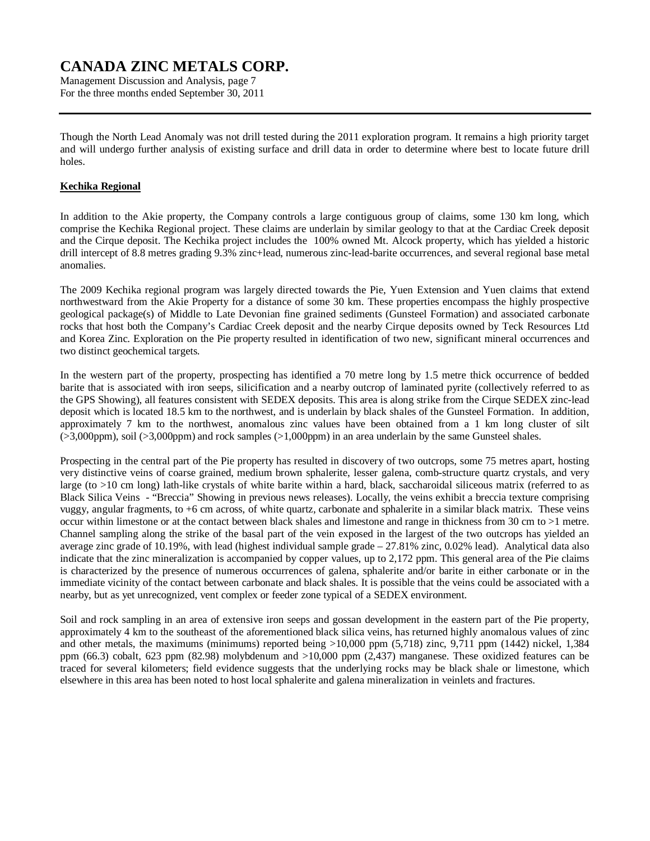Management Discussion and Analysis, page 7 For the three months ended September 30, 2011

Though the North Lead Anomaly was not drill tested during the 2011 exploration program. It remains a high priority target and will undergo further analysis of existing surface and drill data in order to determine where best to locate future drill holes.

### **Kechika Regional**

In addition to the Akie property, the Company controls a large contiguous group of claims, some 130 km long, which comprise the Kechika Regional project. These claims are underlain by similar geology to that at the Cardiac Creek deposit and the Cirque deposit. The Kechika project includes the 100% owned Mt. Alcock property, which has yielded a historic drill intercept of 8.8 metres grading 9.3% zinc+lead, numerous zinc-lead-barite occurrences, and several regional base metal anomalies.

The 2009 Kechika regional program was largely directed towards the Pie, Yuen Extension and Yuen claims that extend northwestward from the Akie Property for a distance of some 30 km. These properties encompass the highly prospective geological package(s) of Middle to Late Devonian fine grained sediments (Gunsteel Formation) and associated carbonate rocks that host both the Company's Cardiac Creek deposit and the nearby Cirque deposits owned by Teck Resources Ltd and Korea Zinc. Exploration on the Pie property resulted in identification of two new, significant mineral occurrences and two distinct geochemical targets.

In the western part of the property, prospecting has identified a 70 metre long by 1.5 metre thick occurrence of bedded barite that is associated with iron seeps, silicification and a nearby outcrop of laminated pyrite (collectively referred to as the GPS Showing), all features consistent with SEDEX deposits. This area is along strike from the Cirque SEDEX zinc-lead deposit which is located 18.5 km to the northwest, and is underlain by black shales of the Gunsteel Formation. In addition, approximately 7 km to the northwest, anomalous zinc values have been obtained from a 1 km long cluster of silt (>3,000ppm), soil (>3,000ppm) and rock samples (>1,000ppm) in an area underlain by the same Gunsteel shales.

Prospecting in the central part of the Pie property has resulted in discovery of two outcrops, some 75 metres apart, hosting very distinctive veins of coarse grained, medium brown sphalerite, lesser galena, comb-structure quartz crystals, and very large (to >10 cm long) lath-like crystals of white barite within a hard, black, saccharoidal siliceous matrix (referred to as Black Silica Veins - "Breccia" Showing in previous news releases). Locally, the veins exhibit a breccia texture comprising vuggy, angular fragments, to +6 cm across, of white quartz, carbonate and sphalerite in a similar black matrix. These veins occur within limestone or at the contact between black shales and limestone and range in thickness from 30 cm to >1 metre. Channel sampling along the strike of the basal part of the vein exposed in the largest of the two outcrops has yielded an average zinc grade of 10.19%, with lead (highest individual sample grade – 27.81% zinc, 0.02% lead). Analytical data also indicate that the zinc mineralization is accompanied by copper values, up to 2,172 ppm. This general area of the Pie claims is characterized by the presence of numerous occurrences of galena, sphalerite and/or barite in either carbonate or in the immediate vicinity of the contact between carbonate and black shales. It is possible that the veins could be associated with a nearby, but as yet unrecognized, vent complex or feeder zone typical of a SEDEX environment.

Soil and rock sampling in an area of extensive iron seeps and gossan development in the eastern part of the Pie property, approximately 4 km to the southeast of the aforementioned black silica veins, has returned highly anomalous values of zinc and other metals, the maximums (minimums) reported being >10,000 ppm (5,718) zinc, 9,711 ppm (1442) nickel, 1,384 ppm (66.3) cobalt, 623 ppm (82.98) molybdenum and >10,000 ppm (2,437) manganese. These oxidized features can be traced for several kilometers; field evidence suggests that the underlying rocks may be black shale or limestone, which elsewhere in this area has been noted to host local sphalerite and galena mineralization in veinlets and fractures.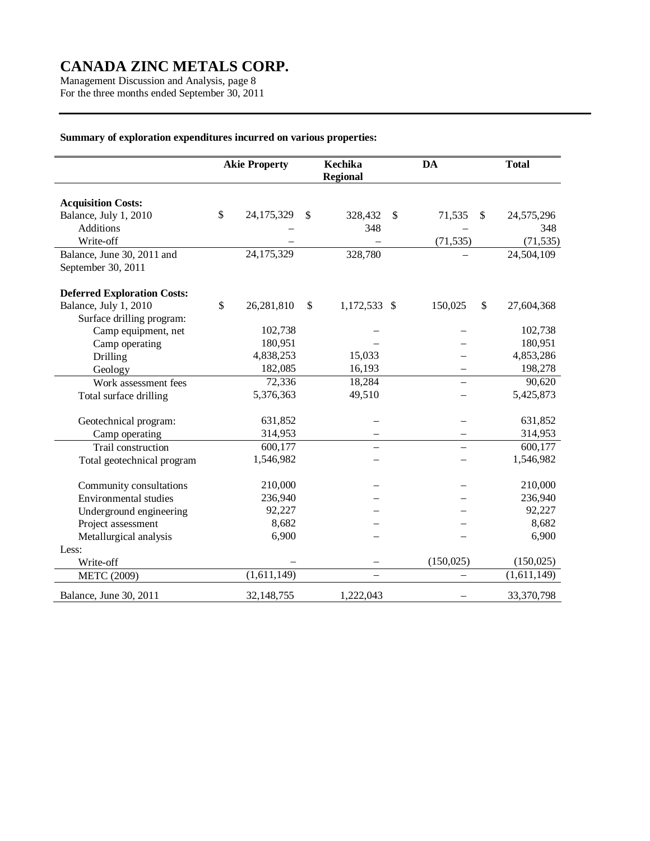Management Discussion and Analysis, page 8 For the three months ended September 30, 2011

### **Summary of exploration expenditures incurred on various properties:**

|                                    | <b>Akie Property</b> | <b>Kechika</b><br><b>Regional</b> | <b>DA</b>                | <b>Total</b> |
|------------------------------------|----------------------|-----------------------------------|--------------------------|--------------|
| <b>Acquisition Costs:</b>          |                      |                                   |                          |              |
| Balance, July 1, 2010              | \$<br>24,175,329     | \$<br>328,432                     | \$<br>71,535<br>\$       | 24,575,296   |
| <b>Additions</b>                   |                      | 348                               |                          | 348          |
| Write-off                          |                      |                                   | (71, 535)                | (71, 535)    |
| Balance, June 30, 2011 and         | 24,175,329           | 328,780                           |                          | 24,504,109   |
| September 30, 2011                 |                      |                                   |                          |              |
| <b>Deferred Exploration Costs:</b> |                      |                                   |                          |              |
| Balance, July 1, 2010              | \$<br>26,281,810     | \$<br>1,172,533 \$                | 150,025<br>\$            | 27,604,368   |
| Surface drilling program:          |                      |                                   |                          |              |
| Camp equipment, net                | 102,738              |                                   |                          | 102,738      |
| Camp operating                     | 180,951              |                                   |                          | 180,951      |
| Drilling                           | 4,838,253            | 15,033                            |                          | 4,853,286    |
| Geology                            | 182,085              | 16,193                            |                          | 198,278      |
| Work assessment fees               | 72,336               | 18,284                            | $\overline{\phantom{0}}$ | 90,620       |
| Total surface drilling             | 5,376,363            | 49,510                            |                          | 5,425,873    |
| Geotechnical program:              | 631,852              |                                   |                          | 631,852      |
| Camp operating                     | 314,953              |                                   |                          | 314,953      |
| Trail construction                 | 600,177              |                                   |                          | 600,177      |
| Total geotechnical program         | 1,546,982            |                                   |                          | 1,546,982    |
| Community consultations            | 210,000              |                                   |                          | 210,000      |
| <b>Environmental studies</b>       | 236,940              |                                   |                          | 236,940      |
| Underground engineering            | 92,227               |                                   |                          | 92,227       |
| Project assessment                 | 8,682                |                                   |                          | 8,682        |
| Metallurgical analysis             | 6,900                |                                   |                          | 6,900        |
| Less:                              |                      |                                   |                          |              |
| Write-off                          |                      |                                   | (150, 025)               | (150, 025)   |
| <b>METC (2009)</b>                 | (1,611,149)          |                                   |                          | (1,611,149)  |
| Balance, June 30, 2011             | 32,148,755           | 1,222,043                         |                          | 33,370,798   |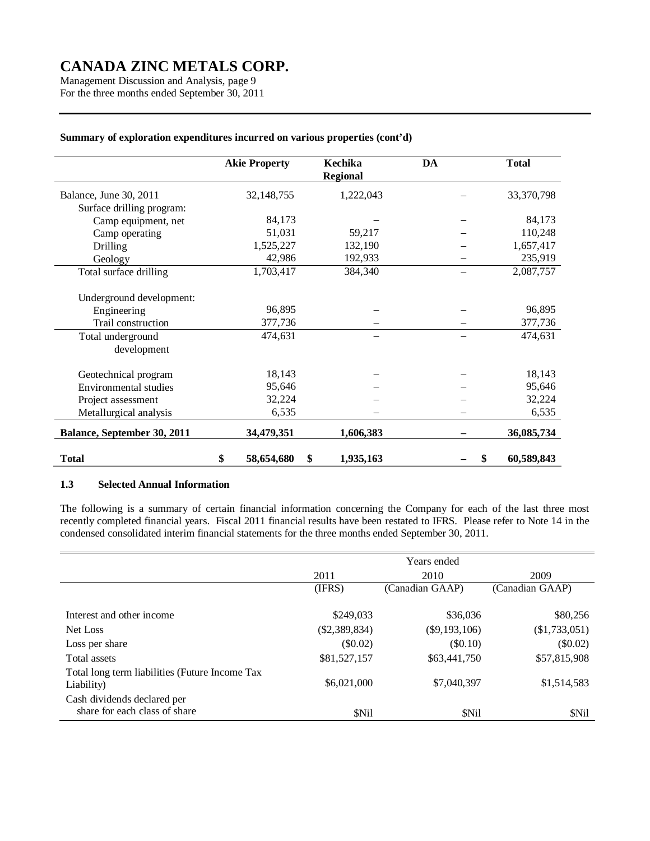Management Discussion and Analysis, page 9 For the three months ended September 30, 2011

|                             | <b>Akie Property</b> | Kechika<br><b>Regional</b> | DA | <b>Total</b> |
|-----------------------------|----------------------|----------------------------|----|--------------|
| Balance, June 30, 2011      | 32, 148, 755         | 1,222,043                  |    | 33,370,798   |
| Surface drilling program:   |                      |                            |    |              |
| Camp equipment, net         | 84,173               |                            |    | 84,173       |
| Camp operating              | 51,031               | 59,217                     |    | 110,248      |
| Drilling                    | 1,525,227            | 132,190                    |    | 1,657,417    |
| Geology                     | 42,986               | 192,933                    |    | 235,919      |
| Total surface drilling      | 1,703,417            | 384,340                    |    | 2,087,757    |
| Underground development:    |                      |                            |    |              |
| Engineering                 | 96,895               |                            |    | 96,895       |
| Trail construction          | 377,736              |                            |    | 377,736      |
| Total underground           | 474,631              |                            |    | 474,631      |
| development                 |                      |                            |    |              |
| Geotechnical program        | 18,143               |                            |    | 18,143       |
| Environmental studies       | 95,646               |                            |    | 95,646       |
| Project assessment          | 32,224               |                            |    | 32,224       |
| Metallurgical analysis      | 6,535                |                            |    | 6,535        |
| Balance, September 30, 2011 | 34,479,351           | 1,606,383                  |    | 36,085,734   |
| <b>Total</b>                | \$<br>58,654,680     | \$<br>1,935,163            |    | 60,589,843   |

#### **Summary of exploration expenditures incurred on various properties (cont'd)**

#### **1.3 Selected Annual Information**

The following is a summary of certain financial information concerning the Company for each of the last three most recently completed financial years. Fiscal 2011 financial results have been restated to IFRS. Please refer to Note 14 in the condensed consolidated interim financial statements for the three months ended September 30, 2011.

|                                                              |                 | Years ended     |                 |
|--------------------------------------------------------------|-----------------|-----------------|-----------------|
|                                                              | 2011            | 2010            | 2009            |
|                                                              | (IFRS)          | (Canadian GAAP) | (Canadian GAAP) |
|                                                              |                 |                 |                 |
| Interest and other income                                    | \$249,033       | \$36,036        | \$80,256        |
| Net Loss                                                     | $(\$2,389,834)$ | $(\$9,193,106)$ | $(\$1,733,051)$ |
| Loss per share                                               | $(\$0.02)$      | $(\$0.10)$      | $(\$0.02)$      |
| Total assets                                                 | \$81,527,157    | \$63,441,750    | \$57,815,908    |
| Total long term liabilities (Future Income Tax<br>Liability) | \$6,021,000     | \$7,040,397     | \$1,514,583     |
| Cash dividends declared per                                  |                 |                 |                 |
| share for each class of share                                | \$Nil           | \$Nil           | \$Nil           |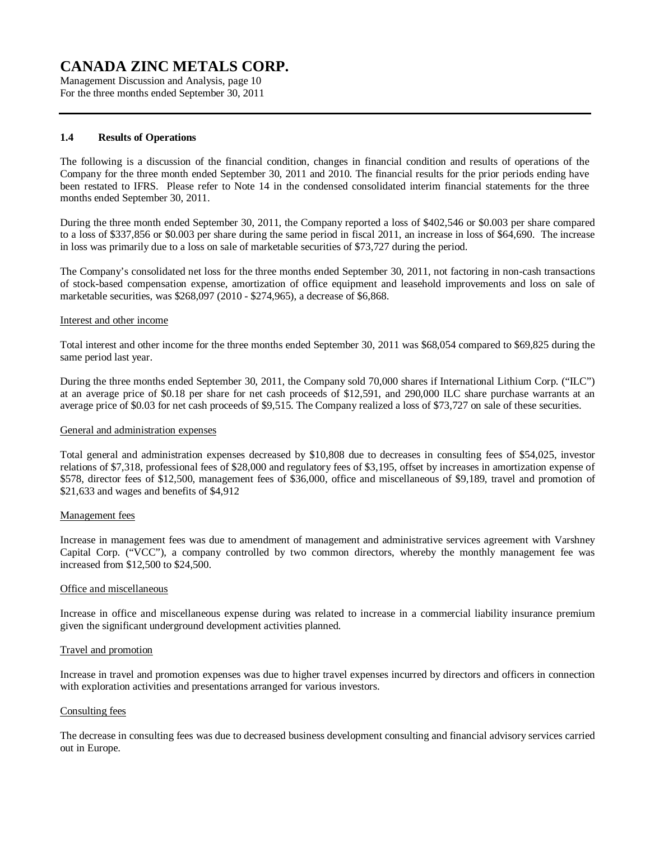Management Discussion and Analysis, page 10 For the three months ended September 30, 2011

#### **1.4 Results of Operations**

The following is a discussion of the financial condition, changes in financial condition and results of operations of the Company for the three month ended September 30, 2011 and 2010. The financial results for the prior periods ending have been restated to IFRS. Please refer to Note 14 in the condensed consolidated interim financial statements for the three months ended September 30, 2011.

During the three month ended September 30, 2011, the Company reported a loss of \$402,546 or \$0.003 per share compared to a loss of \$337,856 or \$0.003 per share during the same period in fiscal 2011, an increase in loss of \$64,690. The increase in loss was primarily due to a loss on sale of marketable securities of \$73,727 during the period.

The Company's consolidated net loss for the three months ended September 30, 2011, not factoring in non-cash transactions of stock-based compensation expense, amortization of office equipment and leasehold improvements and loss on sale of marketable securities, was \$268,097 (2010 - \$274,965), a decrease of \$6,868.

#### Interest and other income

Total interest and other income for the three months ended September 30, 2011 was \$68,054 compared to \$69,825 during the same period last year.

During the three months ended September 30, 2011, the Company sold 70,000 shares if International Lithium Corp. ("ILC") at an average price of \$0.18 per share for net cash proceeds of \$12,591, and 290,000 ILC share purchase warrants at an average price of \$0.03 for net cash proceeds of \$9,515. The Company realized a loss of \$73,727 on sale of these securities.

#### General and administration expenses

Total general and administration expenses decreased by \$10,808 due to decreases in consulting fees of \$54,025, investor relations of \$7,318, professional fees of \$28,000 and regulatory fees of \$3,195, offset by increases in amortization expense of \$578, director fees of \$12,500, management fees of \$36,000, office and miscellaneous of \$9,189, travel and promotion of \$21,633 and wages and benefits of \$4,912

#### Management fees

Increase in management fees was due to amendment of management and administrative services agreement with Varshney Capital Corp. ("VCC"), a company controlled by two common directors, whereby the monthly management fee was increased from \$12,500 to \$24,500.

#### Office and miscellaneous

Increase in office and miscellaneous expense during was related to increase in a commercial liability insurance premium given the significant underground development activities planned.

#### Travel and promotion

Increase in travel and promotion expenses was due to higher travel expenses incurred by directors and officers in connection with exploration activities and presentations arranged for various investors.

#### Consulting fees

The decrease in consulting fees was due to decreased business development consulting and financial advisory services carried out in Europe.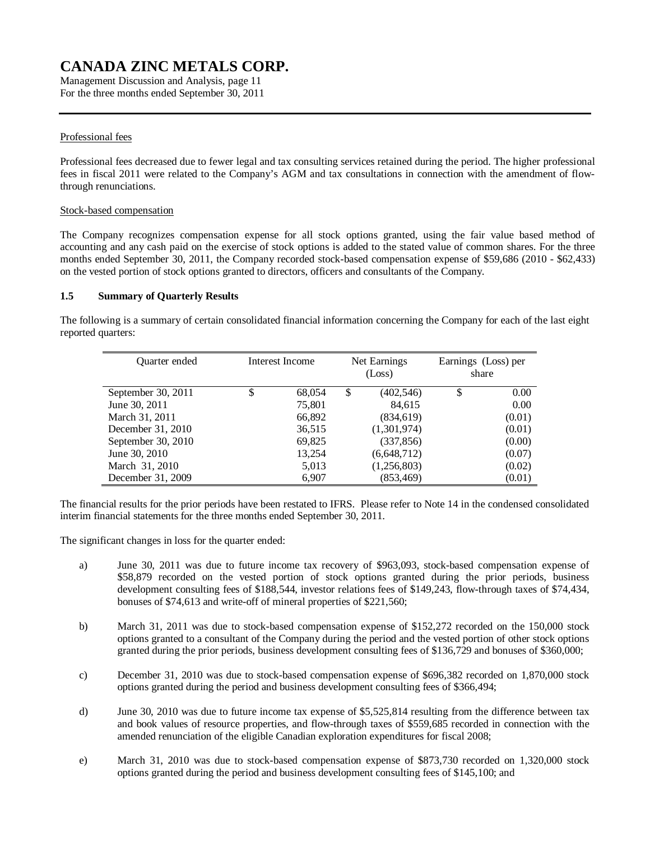Management Discussion and Analysis, page 11 For the three months ended September 30, 2011

#### Professional fees

Professional fees decreased due to fewer legal and tax consulting services retained during the period. The higher professional fees in fiscal 2011 were related to the Company's AGM and tax consultations in connection with the amendment of flowthrough renunciations.

#### Stock-based compensation

The Company recognizes compensation expense for all stock options granted, using the fair value based method of accounting and any cash paid on the exercise of stock options is added to the stated value of common shares. For the three months ended September 30, 2011, the Company recorded stock-based compensation expense of \$59,686 (2010 - \$62,433) on the vested portion of stock options granted to directors, officers and consultants of the Company.

### **1.5 Summary of Quarterly Results**

The following is a summary of certain consolidated financial information concerning the Company for each of the last eight reported quarters:

| <b>Ouarter</b> ended | Interest Income | Net Earnings<br>(Loss) |               | Earnings (Loss) per<br>share |
|----------------------|-----------------|------------------------|---------------|------------------------------|
| September 30, 2011   | \$<br>68,054    | \$                     | (402, 546)    | \$<br>0.00                   |
| June 30, 2011        | 75,801          |                        | 84,615        | 0.00                         |
| March 31, 2011       | 66,892          |                        | (834, 619)    | (0.01)                       |
| December 31, 2010    | 36,515          |                        | (1,301,974)   | (0.01)                       |
| September 30, 2010   | 69,825          |                        | (337, 856)    | (0.00)                       |
| June 30, 2010        | 13,254          |                        | (6, 648, 712) | (0.07)                       |
| March 31, 2010       | 5,013           |                        | (1,256,803)   | (0.02)                       |
| December 31, 2009    | 6,907           |                        | (853, 469)    | (0.01)                       |

The financial results for the prior periods have been restated to IFRS. Please refer to Note 14 in the condensed consolidated interim financial statements for the three months ended September 30, 2011.

The significant changes in loss for the quarter ended:

- a) June 30, 2011 was due to future income tax recovery of \$963,093, stock-based compensation expense of \$58,879 recorded on the vested portion of stock options granted during the prior periods, business development consulting fees of \$188,544, investor relations fees of \$149,243, flow-through taxes of \$74,434, bonuses of \$74,613 and write-off of mineral properties of \$221,560;
- b) March 31, 2011 was due to stock-based compensation expense of \$152,272 recorded on the 150,000 stock options granted to a consultant of the Company during the period and the vested portion of other stock options granted during the prior periods, business development consulting fees of \$136,729 and bonuses of \$360,000;
- c) December 31, 2010 was due to stock-based compensation expense of \$696,382 recorded on 1,870,000 stock options granted during the period and business development consulting fees of \$366,494;
- d) June 30, 2010 was due to future income tax expense of \$5,525,814 resulting from the difference between tax and book values of resource properties, and flow-through taxes of \$559,685 recorded in connection with the amended renunciation of the eligible Canadian exploration expenditures for fiscal 2008;
- e) March 31, 2010 was due to stock-based compensation expense of \$873,730 recorded on 1,320,000 stock options granted during the period and business development consulting fees of \$145,100; and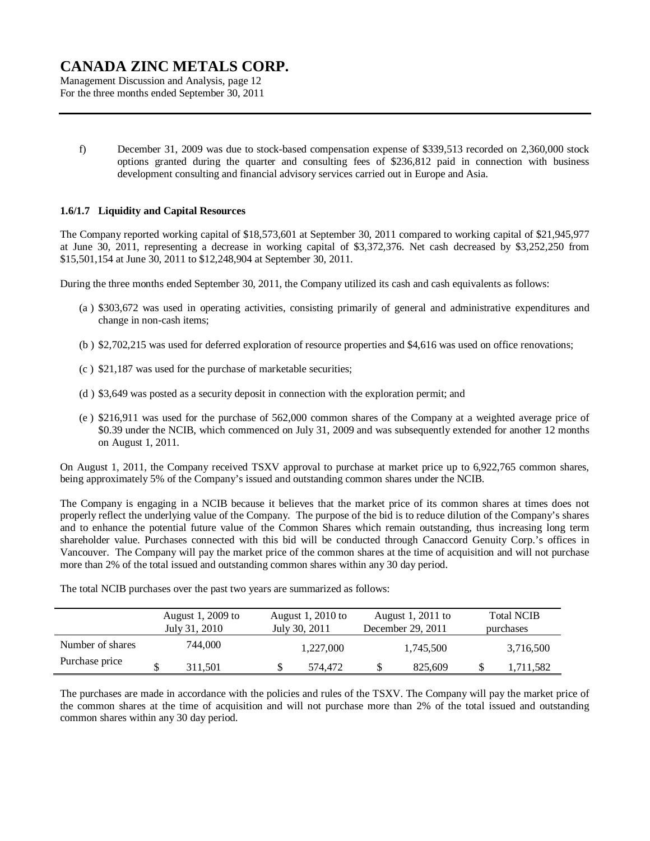Management Discussion and Analysis, page 12 For the three months ended September 30, 2011

f) December 31, 2009 was due to stock-based compensation expense of \$339,513 recorded on 2,360,000 stock options granted during the quarter and consulting fees of \$236,812 paid in connection with business development consulting and financial advisory services carried out in Europe and Asia.

### **1.6/1.7 Liquidity and Capital Resources**

The Company reported working capital of \$18,573,601 at September 30, 2011 compared to working capital of \$21,945,977 at June 30, 2011, representing a decrease in working capital of \$3,372,376. Net cash decreased by \$3,252,250 from \$15,501,154 at June 30, 2011 to \$12,248,904 at September 30, 2011.

During the three months ended September 30, 2011, the Company utilized its cash and cash equivalents as follows:

- (a ) \$303,672 was used in operating activities, consisting primarily of general and administrative expenditures and change in non-cash items;
- (b ) \$2,702,215 was used for deferred exploration of resource properties and \$4,616 was used on office renovations;
- (c ) \$21,187 was used for the purchase of marketable securities;
- (d ) \$3,649 was posted as a security deposit in connection with the exploration permit; and
- (e ) \$216,911 was used for the purchase of 562,000 common shares of the Company at a weighted average price of \$0.39 under the NCIB, which commenced on July 31, 2009 and was subsequently extended for another 12 months on August 1, 2011.

On August 1, 2011, the Company received TSXV approval to purchase at market price up to 6,922,765 common shares, being approximately 5% of the Company's issued and outstanding common shares under the NCIB.

The Company is engaging in a NCIB because it believes that the market price of its common shares at times does not properly reflect the underlying value of the Company. The purpose of the bid is to reduce dilution of the Company's shares and to enhance the potential future value of the Common Shares which remain outstanding, thus increasing long term shareholder value. Purchases connected with this bid will be conducted through Canaccord Genuity Corp.'s offices in Vancouver. The Company will pay the market price of the common shares at the time of acquisition and will not purchase more than 2% of the total issued and outstanding common shares within any 30 day period.

The total NCIB purchases over the past two years are summarized as follows:

|                  | August 1, 2009 to<br>July 31, 2010 | August 1, 2010 to<br>July 30, 2011 | August 1, 2011 to<br>December 29, 2011 | <b>Total NCIB</b><br>purchases |
|------------------|------------------------------------|------------------------------------|----------------------------------------|--------------------------------|
| Number of shares | 744.000                            | 1,227,000                          | 1,745,500                              | 3,716,500                      |
| Purchase price   | 311.501                            | 574.472                            | 825,609                                | 1,711,582                      |

The purchases are made in accordance with the policies and rules of the TSXV. The Company will pay the market price of the common shares at the time of acquisition and will not purchase more than 2% of the total issued and outstanding common shares within any 30 day period.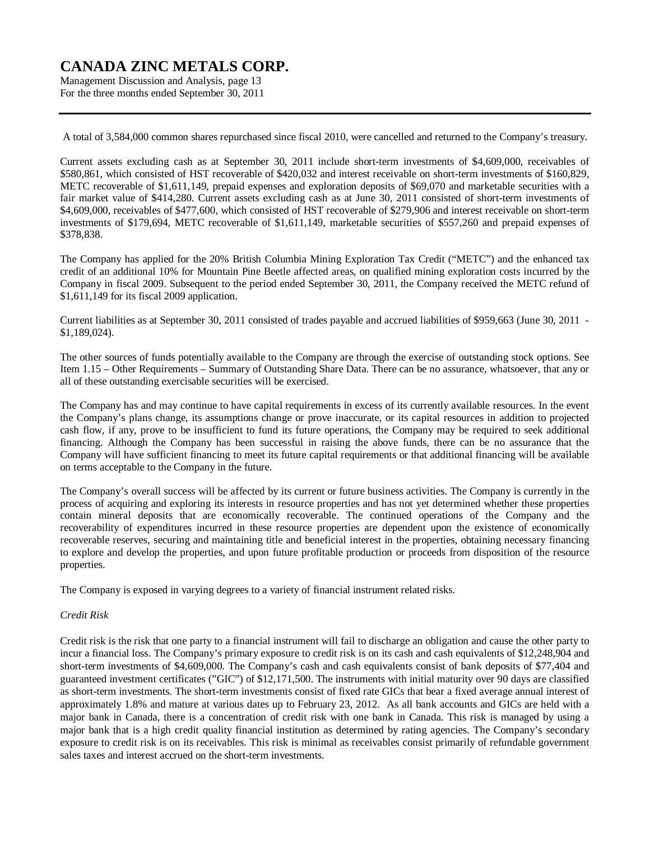Management Discussion and Analysis, page 13 For the three months ended September 30, 2011

A total of 3,584,000 common shares repurchased since fiscal 2010, were cancelled and returned to the Company's treasury.

Current assets excluding cash as at September 30, 2011 include short-term investments of \$4,609,000, receivables of \$580,861, which consisted of HST recoverable of \$420,032 and interest receivable on short-term investments of \$160,829, METC recoverable of \$1,611,149, prepaid expenses and exploration deposits of \$69,070 and marketable securities with a fair market value of \$414,280. Current assets excluding cash as at June 30, 2011 consisted of short-term investments of \$4,609,000, receivables of \$477,600, which consisted of HST recoverable of \$279,906 and interest receivable on short-term investments of \$179,694, METC recoverable of \$1,611,149, marketable securities of \$557,260 and prepaid expenses of \$378,838.

The Company has applied for the 20% British Columbia Mining Exploration Tax Credit ("METC") and the enhanced tax credit of an additional 10% for Mountain Pine Beetle affected areas, on qualified mining exploration costs incurred by the Company in fiscal 2009. Subsequent to the period ended September 30, 2011, the Company received the METC refund of \$1,611,149 for its fiscal 2009 application.

Current liabilities as at September 30, 2011 consisted of trades payable and accrued liabilities of \$959,663 (June 30, 2011 - \$1,189,024).

The other sources of funds potentially available to the Company are through the exercise of outstanding stock options. See Item 1.15 – Other Requirements – Summary of Outstanding Share Data. There can be no assurance, whatsoever, that any or all of these outstanding exercisable securities will be exercised.

The Company has and may continue to have capital requirements in excess of its currently available resources. In the event the Company's plans change, its assumptions change or prove inaccurate, or its capital resources in addition to projected cash flow, if any, prove to be insufficient to fund its future operations, the Company may be required to seek additional financing. Although the Company has been successful in raising the above funds, there can be no assurance that the Company will have sufficient financing to meet its future capital requirements or that additional financing will be available on terms acceptable to the Company in the future.

The Company's overall success will be affected by its current or future business activities. The Company is currently in the process of acquiring and exploring its interests in resource properties and has not yet determined whether these properties contain mineral deposits that are economically recoverable. The continued operations of the Company and the recoverability of expenditures incurred in these resource properties are dependent upon the existence of economically recoverable reserves, securing and maintaining title and beneficial interest in the properties, obtaining necessary financing to explore and develop the properties, and upon future profitable production or proceeds from disposition of the resource properties.

The Company is exposed in varying degrees to a variety of financial instrument related risks.

#### *Credit Risk*

Credit risk is the risk that one party to a financial instrument will fail to discharge an obligation and cause the other party to incur a financial loss. The Company's primary exposure to credit risk is on its cash and cash equivalents of \$12,248,904 and short-term investments of \$4,609,000. The Company's cash and cash equivalents consist of bank deposits of \$77,404 and guaranteed investment certificates ("GIC") of \$12,171,500. The instruments with initial maturity over 90 days are classified as short-term investments. The short-term investments consist of fixed rate GICs that bear a fixed average annual interest of approximately 1.8% and mature at various dates up to February 23, 2012. As all bank accounts and GICs are held with a major bank in Canada, there is a concentration of credit risk with one bank in Canada. This risk is managed by using a major bank that is a high credit quality financial institution as determined by rating agencies. The Company's secondary exposure to credit risk is on its receivables. This risk is minimal as receivables consist primarily of refundable government sales taxes and interest accrued on the short-term investments.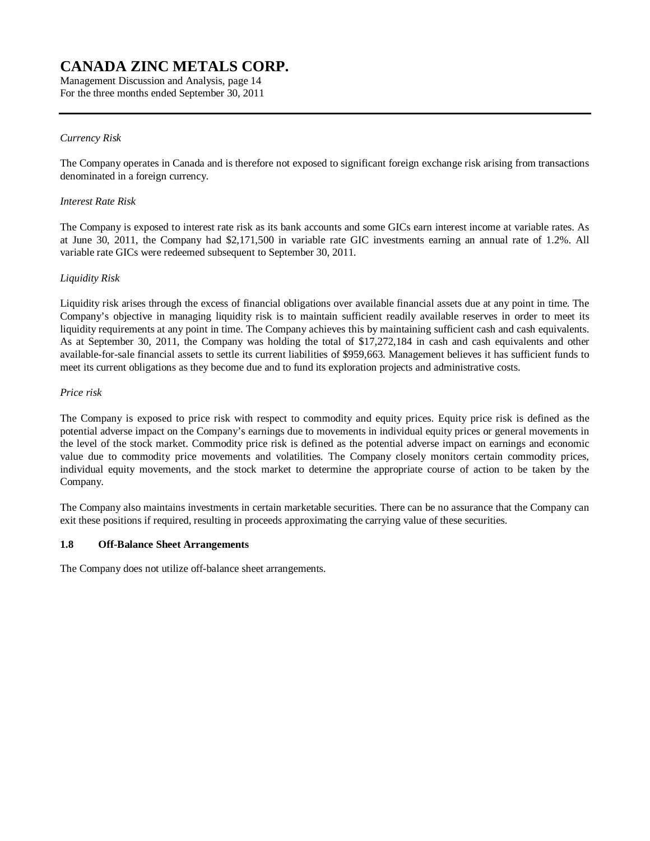Management Discussion and Analysis, page 14 For the three months ended September 30, 2011

### *Currency Risk*

The Company operates in Canada and is therefore not exposed to significant foreign exchange risk arising from transactions denominated in a foreign currency.

### *Interest Rate Risk*

The Company is exposed to interest rate risk as its bank accounts and some GICs earn interest income at variable rates. As at June 30, 2011, the Company had \$2,171,500 in variable rate GIC investments earning an annual rate of 1.2%. All variable rate GICs were redeemed subsequent to September 30, 2011.

### *Liquidity Risk*

Liquidity risk arises through the excess of financial obligations over available financial assets due at any point in time. The Company's objective in managing liquidity risk is to maintain sufficient readily available reserves in order to meet its liquidity requirements at any point in time. The Company achieves this by maintaining sufficient cash and cash equivalents. As at September 30, 2011, the Company was holding the total of \$17,272,184 in cash and cash equivalents and other available-for-sale financial assets to settle its current liabilities of \$959,663. Management believes it has sufficient funds to meet its current obligations as they become due and to fund its exploration projects and administrative costs.

#### *Price risk*

The Company is exposed to price risk with respect to commodity and equity prices. Equity price risk is defined as the potential adverse impact on the Company's earnings due to movements in individual equity prices or general movements in the level of the stock market. Commodity price risk is defined as the potential adverse impact on earnings and economic value due to commodity price movements and volatilities. The Company closely monitors certain commodity prices, individual equity movements, and the stock market to determine the appropriate course of action to be taken by the Company.

The Company also maintains investments in certain marketable securities. There can be no assurance that the Company can exit these positions if required, resulting in proceeds approximating the carrying value of these securities.

#### **1.8 Off-Balance Sheet Arrangements**

The Company does not utilize off-balance sheet arrangements.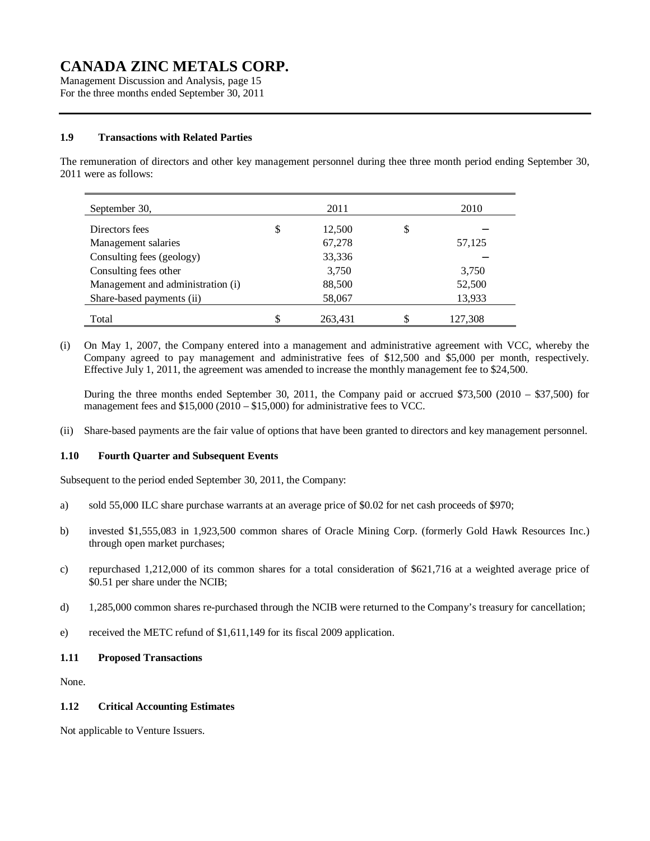Management Discussion and Analysis, page 15 For the three months ended September 30, 2011

#### **1.9 Transactions with Related Parties**

The remuneration of directors and other key management personnel during thee three month period ending September 30, 2011 were as follows:

| September 30,                     | 2011          | 2010          |
|-----------------------------------|---------------|---------------|
| Directors fees                    | \$<br>12,500  | \$            |
| Management salaries               | 67,278        | 57,125        |
| Consulting fees (geology)         | 33,336        |               |
| Consulting fees other             | 3,750         | 3,750         |
| Management and administration (i) | 88,500        | 52,500        |
| Share-based payments (ii)         | 58,067        | 13,933        |
| Total                             | \$<br>263.431 | \$<br>127,308 |

(i) On May 1, 2007, the Company entered into a management and administrative agreement with VCC, whereby the Company agreed to pay management and administrative fees of \$12,500 and \$5,000 per month, respectively. Effective July 1, 2011, the agreement was amended to increase the monthly management fee to \$24,500.

During the three months ended September 30, 2011, the Company paid or accrued \$73,500 (2010 – \$37,500) for management fees and \$15,000 (2010 – \$15,000) for administrative fees to VCC.

(ii) Share-based payments are the fair value of options that have been granted to directors and key management personnel.

#### **1.10 Fourth Quarter and Subsequent Events**

Subsequent to the period ended September 30, 2011, the Company:

- a) sold 55,000 ILC share purchase warrants at an average price of \$0.02 for net cash proceeds of \$970;
- b) invested \$1,555,083 in 1,923,500 common shares of Oracle Mining Corp. (formerly Gold Hawk Resources Inc.) through open market purchases;
- c) repurchased 1,212,000 of its common shares for a total consideration of \$621,716 at a weighted average price of \$0.51 per share under the NCIB;
- d) 1,285,000 common shares re-purchased through the NCIB were returned to the Company's treasury for cancellation;
- e) received the METC refund of \$1,611,149 for its fiscal 2009 application.

#### **1.11 Proposed Transactions**

None.

#### **1.12 Critical Accounting Estimates**

Not applicable to Venture Issuers.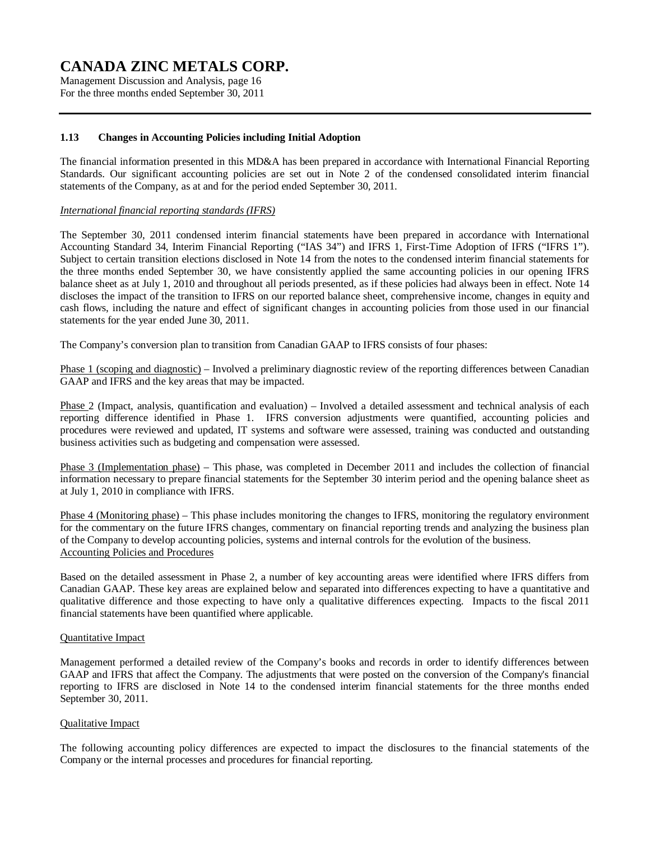Management Discussion and Analysis, page 16 For the three months ended September 30, 2011

#### **1.13 Changes in Accounting Policies including Initial Adoption**

The financial information presented in this MD&A has been prepared in accordance with International Financial Reporting Standards. Our significant accounting policies are set out in Note 2 of the condensed consolidated interim financial statements of the Company, as at and for the period ended September 30, 2011.

#### *International financial reporting standards (IFRS)*

The September 30, 2011 condensed interim financial statements have been prepared in accordance with International Accounting Standard 34, Interim Financial Reporting ("IAS 34") and IFRS 1, First-Time Adoption of IFRS ("IFRS 1"). Subject to certain transition elections disclosed in Note 14 from the notes to the condensed interim financial statements for the three months ended September 30, we have consistently applied the same accounting policies in our opening IFRS balance sheet as at July 1, 2010 and throughout all periods presented, as if these policies had always been in effect. Note 14 discloses the impact of the transition to IFRS on our reported balance sheet, comprehensive income, changes in equity and cash flows, including the nature and effect of significant changes in accounting policies from those used in our financial statements for the year ended June 30, 2011.

The Company's conversion plan to transition from Canadian GAAP to IFRS consists of four phases:

Phase 1 (scoping and diagnostic) – Involved a preliminary diagnostic review of the reporting differences between Canadian GAAP and IFRS and the key areas that may be impacted.

Phase 2 (Impact, analysis, quantification and evaluation) – Involved a detailed assessment and technical analysis of each reporting difference identified in Phase 1. IFRS conversion adjustments were quantified, accounting policies and procedures were reviewed and updated, IT systems and software were assessed, training was conducted and outstanding business activities such as budgeting and compensation were assessed.

Phase 3 (Implementation phase) – This phase, was completed in December 2011 and includes the collection of financial information necessary to prepare financial statements for the September 30 interim period and the opening balance sheet as at July 1, 2010 in compliance with IFRS.

Phase 4 (Monitoring phase) – This phase includes monitoring the changes to IFRS, monitoring the regulatory environment for the commentary on the future IFRS changes, commentary on financial reporting trends and analyzing the business plan of the Company to develop accounting policies, systems and internal controls for the evolution of the business. Accounting Policies and Procedures

Based on the detailed assessment in Phase 2, a number of key accounting areas were identified where IFRS differs from Canadian GAAP. These key areas are explained below and separated into differences expecting to have a quantitative and qualitative difference and those expecting to have only a qualitative differences expecting. Impacts to the fiscal 2011 financial statements have been quantified where applicable.

#### Quantitative Impact

Management performed a detailed review of the Company's books and records in order to identify differences between GAAP and IFRS that affect the Company. The adjustments that were posted on the conversion of the Company's financial reporting to IFRS are disclosed in Note 14 to the condensed interim financial statements for the three months ended September 30, 2011.

#### Qualitative Impact

The following accounting policy differences are expected to impact the disclosures to the financial statements of the Company or the internal processes and procedures for financial reporting.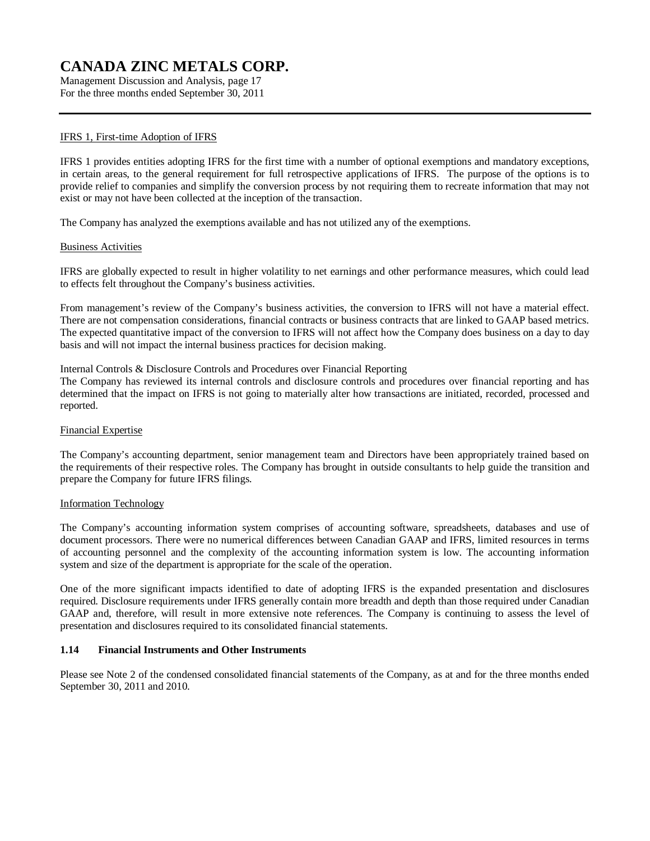Management Discussion and Analysis, page 17 For the three months ended September 30, 2011

#### IFRS 1, First-time Adoption of IFRS

IFRS 1 provides entities adopting IFRS for the first time with a number of optional exemptions and mandatory exceptions, in certain areas, to the general requirement for full retrospective applications of IFRS. The purpose of the options is to provide relief to companies and simplify the conversion process by not requiring them to recreate information that may not exist or may not have been collected at the inception of the transaction.

The Company has analyzed the exemptions available and has not utilized any of the exemptions.

#### Business Activities

IFRS are globally expected to result in higher volatility to net earnings and other performance measures, which could lead to effects felt throughout the Company's business activities.

From management's review of the Company's business activities, the conversion to IFRS will not have a material effect. There are not compensation considerations, financial contracts or business contracts that are linked to GAAP based metrics. The expected quantitative impact of the conversion to IFRS will not affect how the Company does business on a day to day basis and will not impact the internal business practices for decision making.

Internal Controls & Disclosure Controls and Procedures over Financial Reporting

The Company has reviewed its internal controls and disclosure controls and procedures over financial reporting and has determined that the impact on IFRS is not going to materially alter how transactions are initiated, recorded, processed and reported.

#### Financial Expertise

The Company's accounting department, senior management team and Directors have been appropriately trained based on the requirements of their respective roles. The Company has brought in outside consultants to help guide the transition and prepare the Company for future IFRS filings.

#### Information Technology

The Company's accounting information system comprises of accounting software, spreadsheets, databases and use of document processors. There were no numerical differences between Canadian GAAP and IFRS, limited resources in terms of accounting personnel and the complexity of the accounting information system is low. The accounting information system and size of the department is appropriate for the scale of the operation.

One of the more significant impacts identified to date of adopting IFRS is the expanded presentation and disclosures required. Disclosure requirements under IFRS generally contain more breadth and depth than those required under Canadian GAAP and, therefore, will result in more extensive note references. The Company is continuing to assess the level of presentation and disclosures required to its consolidated financial statements.

#### **1.14 Financial Instruments and Other Instruments**

Please see Note 2 of the condensed consolidated financial statements of the Company, as at and for the three months ended September 30, 2011 and 2010.